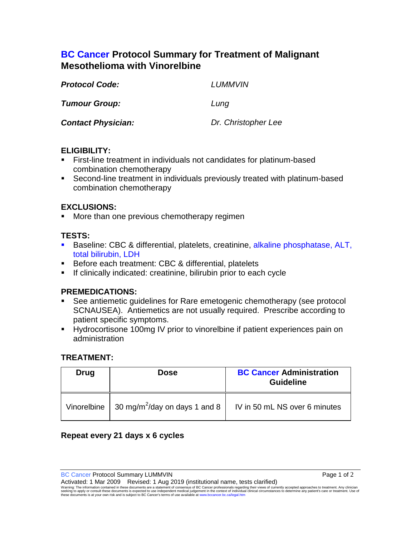# **BC Cancer Protocol Summary for Treatment of Malignant Mesothelioma with Vinorelbine**

| <b>Protocol Code:</b>     | LUMMVIN             |
|---------------------------|---------------------|
| <b>Tumour Group:</b>      | Lung                |
| <b>Contact Physician:</b> | Dr. Christopher Lee |

## **ELIGIBILITY:**

- First-line treatment in individuals not candidates for platinum-based combination chemotherapy
- Second-line treatment in individuals previously treated with platinum-based combination chemotherapy

# **EXCLUSIONS:**

More than one previous chemotherapy regimen

## **TESTS:**

- Baseline: CBC & differential, platelets, creatinine, alkaline phosphatase, ALT, total bilirubin, LDH
- **Before each treatment: CBC & differential, platelets**
- **If clinically indicated: creatinine, bilirubin prior to each cycle**

#### **PREMEDICATIONS:**

- See antiemetic guidelines for Rare emetogenic chemotherapy (see protocol SCNAUSEA). Antiemetics are not usually required. Prescribe according to patient specific symptoms.
- Hydrocortisone 100mg IV prior to vinorelbine if patient experiences pain on administration

#### **TREATMENT:**

| Drug | <b>Dose</b>                                                   | <b>BC Cancer Administration</b><br><b>Guideline</b> |
|------|---------------------------------------------------------------|-----------------------------------------------------|
|      | Vinorelbine $\vert$ 30 mg/m <sup>2</sup> /day on days 1 and 8 | IV in 50 mL NS over 6 minutes                       |

# **Repeat every 21 days x 6 cycles**

BC Cancer Protocol Summary LUMMVIN **Page 1 of 2** 

Activated: 1 Mar 2009 Revised: 1 Aug 2019 (institutional name, tests clarified)

Warning: The information contained in these documents are a statement of consensus of BC Cancer professionals regarding their views of currently accepted approaches to treatment. Any clinician<br>seeking to apply or consult t